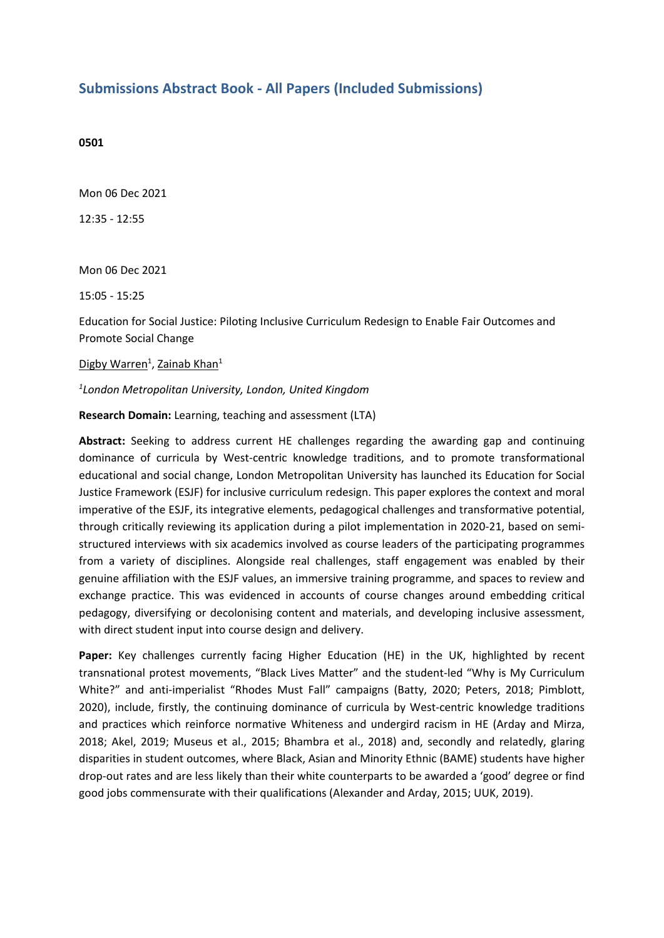## **Submissions Abstract Book - All Papers (Included Submissions)**

## **0501**

Mon 06 Dec 2021

12:35 - 12:55

Mon 06 Dec 2021

15:05 - 15:25

Education for Social Justice: Piloting Inclusive Curriculum Redesign to Enable Fair Outcomes and Promote Social Change

Digby Warren<sup>1</sup>, Zainab Khan<sup>1</sup>

## *1 London Metropolitan University, London, United Kingdom*

**Research Domain:** Learning, teaching and assessment (LTA)

**Abstract:** Seeking to address current HE challenges regarding the awarding gap and continuing dominance of curricula by West-centric knowledge traditions, and to promote transformational educational and social change, London Metropolitan University has launched its Education for Social Justice Framework (ESJF) for inclusive curriculum redesign. This paper explores the context and moral imperative of the ESJF, its integrative elements, pedagogical challenges and transformative potential, through critically reviewing its application during <sup>a</sup> pilot implementation in 2020-21, based on semistructured interviews with six academics involved as course leaders of the participating programmes from <sup>a</sup> variety of disciplines. Alongside real challenges, staff engagement was enabled by their genuine affiliation with the ESJF values, an immersive training programme, and spaces to review and exchange practice. This was evidenced in accounts of course changes around embedding critical pedagogy, diversifying or decolonising content and materials, and developing inclusive assessment, with direct student input into course design and delivery.

**Paper:** Key challenges currently facing Higher Education (HE) in the UK, highlighted by recent transnational protest movements, "Black Lives Matter" and the student-led "Why is My Curriculum White?" and anti-imperialist "Rhodes Must Fall" campaigns (Batty, 2020; Peters, 2018; Pimblott, 2020), include, firstly, the continuing dominance of curricula by West-centric knowledge traditions and practices which reinforce normative Whiteness and undergird racism in HE (Arday and Mirza, 2018; Akel, 2019; Museus et al., 2015; Bhambra et al., 2018) and, secondly and relatedly, glaring disparities in student outcomes, where Black, Asian and Minority Ethnic (BAME) students have higher drop-out rates and are less likely than their white counterparts to be awarded <sup>a</sup> 'good' degree or find good jobs commensurate with their qualifications (Alexander and Arday, 2015; UUK, 2019).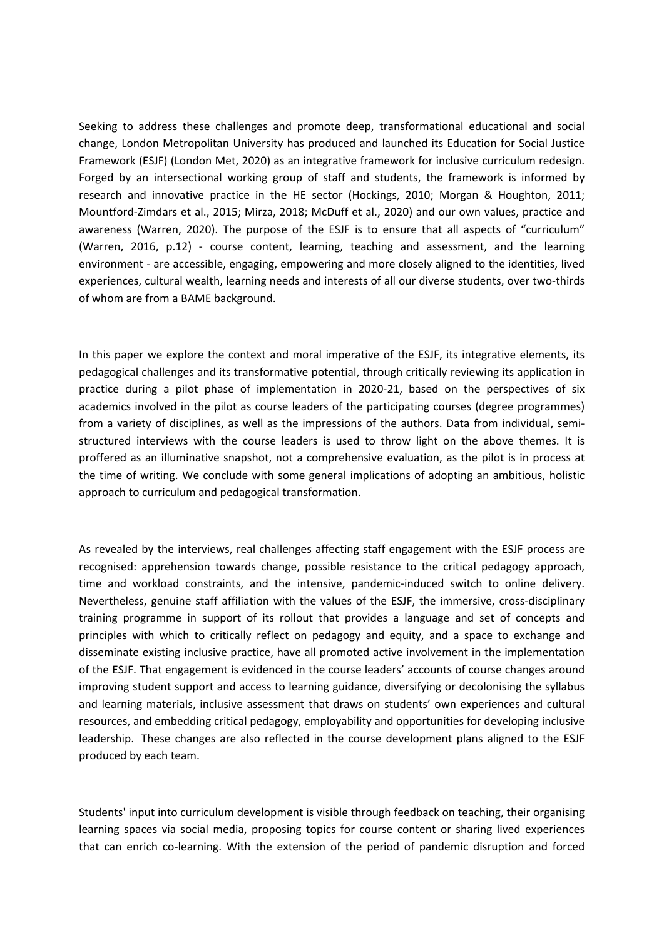Seeking to address these challenges and promote deep, transformational educational and social change, London Metropolitan University has produced and launched its Education for Social Justice Framework (ESJF) (London Met, 2020) as an integrative framework for inclusive curriculum redesign. Forged by an intersectional working group of staff and students, the framework is informed by research and innovative practice in the HE sector (Hockings, 2010; Morgan & Houghton, 2011; Mountford-Zimdars et al., 2015; Mirza, 2018; McDuff et al., 2020) and our own values, practice and awareness (Warren, 2020). The purpose of the ESJF is to ensure that all aspects of "curriculum" (Warren, 2016, p.12) - course content, learning, teaching and assessment, and the learning environment - are accessible, engaging, empowering and more closely aligned to the identities, lived experiences, cultural wealth, learning needs and interests of all our diverse students, over two-thirds of whom are from <sup>a</sup> BAME background.

In this paper we explore the context and moral imperative of the ESJF, its integrative elements, its pedagogical challenges and its transformative potential, through critically reviewing its application in practice during <sup>a</sup> pilot phase of implementation in 2020-21, based on the perspectives of six academics involved in the pilot as course leaders of the participating courses (degree programmes) from <sup>a</sup> variety of disciplines, as well as the impressions of the authors. Data from individual, semistructured interviews with the course leaders is used to throw light on the above themes. It is proffered as an illuminative snapshot, not <sup>a</sup> comprehensive evaluation, as the pilot is in process at the time of writing. We conclude with some general implications of adopting an ambitious, holistic approach to curriculum and pedagogical transformation.

As revealed by the interviews, real challenges affecting staff engagement with the ESJF process are recognised: apprehension towards change, possible resistance to the critical pedagogy approach, time and workload constraints, and the intensive, pandemic-induced switch to online delivery. Nevertheless, genuine staff affiliation with the values of the ESJF, the immersive, cross-disciplinary training programme in support of its rollout that provides <sup>a</sup> language and set of concepts and principles with which to critically reflect on pedagogy and equity, and <sup>a</sup> space to exchange and disseminate existing inclusive practice, have all promoted active involvement in the implementation of the ESJF. That engagement is evidenced in the course leaders' accounts of course changes around improving student support and access to learning guidance, diversifying or decolonising the syllabus and learning materials, inclusive assessment that draws on students' own experiences and cultural resources, and embedding critical pedagogy, employability and opportunities for developing inclusive leadership. These changes are also reflected in the course development plans aligned to the ESJF produced by each team.

Students' input into curriculum development is visible through feedback on teaching, their organising learning spaces via social media, proposing topics for course content or sharing lived experiences that can enrich co-learning. With the extension of the period of pandemic disruption and forced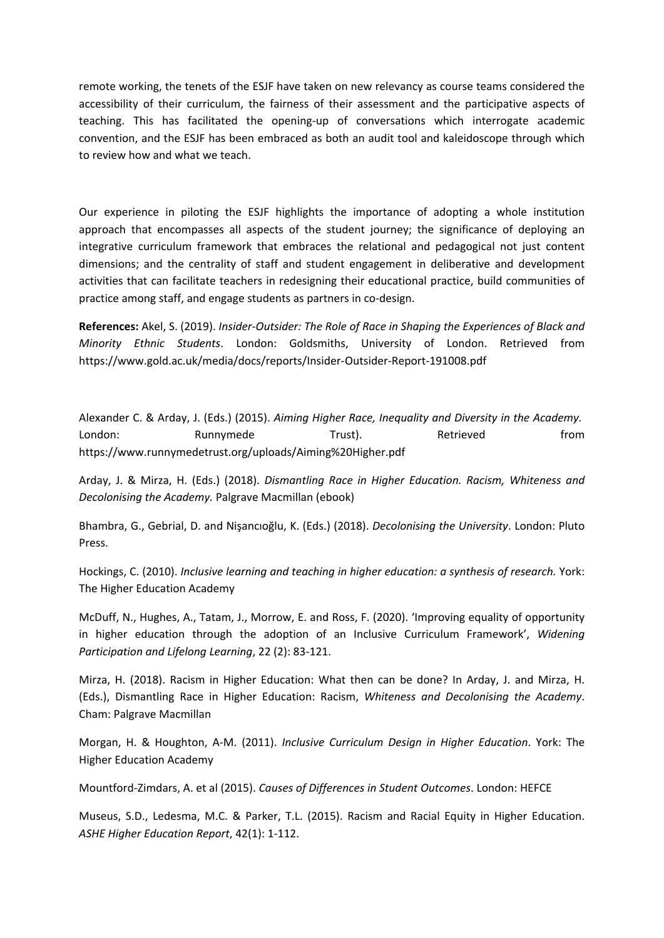remote working, the tenets of the ESJF have taken on new relevancy as course teams considered the accessibility of their curriculum, the fairness of their assessment and the participative aspects of teaching. This has facilitated the opening-up of conversations which interrogate academic convention, and the ESJF has been embraced as both an audit tool and kaleidoscope through which to review how and what we teach.

Our experience in piloting the ESJF highlights the importance of adopting <sup>a</sup> whole institution approach that encompasses all aspects of the student journey; the significance of deploying an integrative curriculum framework that embraces the relational and pedagogical not just content dimensions; and the centrality of staff and student engagement in deliberative and development activities that can facilitate teachers in redesigning their educational practice, build communities of practice among staff, and engage students as partners in co-design.

**References:** Akel, S. (2019). *Insider-Outsider: The Role of Race in Shaping the Experiences of Black and Minority Ethnic Students*. London: Goldsmiths, University of London. Retrieved from https://www.gold.ac.uk/media/docs/reports/Insider-Outsider-Report-191008.pdf

Alexander C. & Arday, J. (Eds.) (2015). *Aiming Higher Race, Inequality and Diversity in the Academy.*  London: Runnymede Trust). Retrieved from https://www.runnymedetrust.org/uploads/Aiming%20Higher.pdf

Arday, J. & Mirza, H. (Eds.) (2018). *Dismantling Race in Higher Education. Racism, Whiteness and Decolonising the Academy.* Palgrave Macmillan (ebook)

Bhambra, G., Gebrial, D. and Nişancıoğlu, K. (Eds.) (2018). *Decolonising the University*. London: Pluto Press.

Hockings, C. (2010). *Inclusive learning and teaching in higher education: <sup>a</sup> synthesis of research.* York: The Higher Education Academy

McDuff, N., Hughes, A., Tatam, J., Morrow, E. and Ross, F. (2020). 'Improving equality of opportunity in higher education through the adoption of an Inclusive Curriculum Framework', *Widening Participation and Lifelong Learning*, 22 (2): 83-121.

Mirza, H. (2018). Racism in Higher Education: What then can be done? In Arday, J. and Mirza, H. (Eds.), Dismantling Race in Higher Education: Racism, *Whiteness and Decolonising the Academy*. Cham: Palgrave Macmillan

Morgan, H. & Houghton, A-M. (2011). *Inclusive Curriculum Design in Higher Education*. York: The Higher Education Academy

Mountford-Zimdars, A. et al (2015). *Causes of Differences in Student Outcomes*. London: HEFCE

Museus, S.D., Ledesma, M.C. & Parker, T.L. (2015). Racism and Racial Equity in Higher Education. *ASHE Higher Education Report*, 42(1): 1-112.